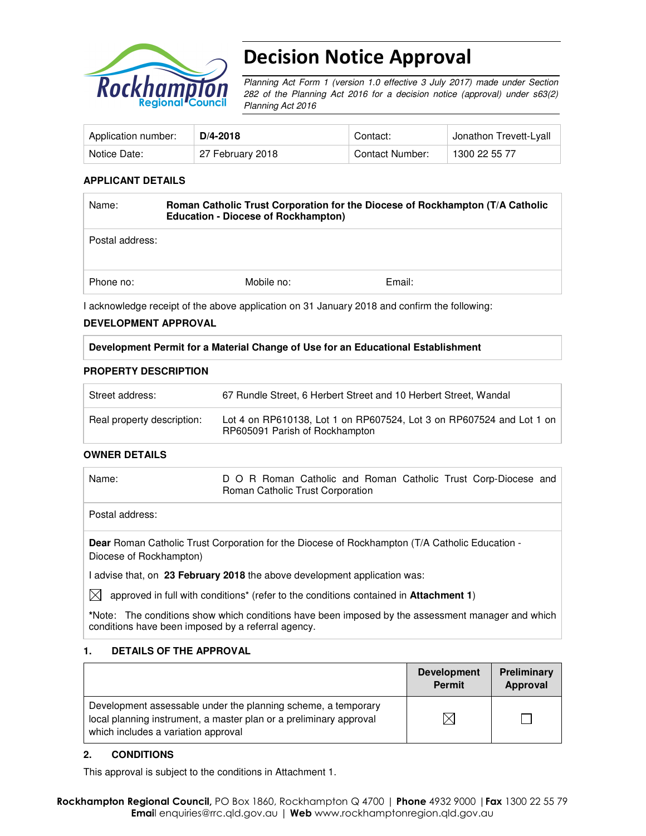

# Decision Notice Approval

Planning Act Form 1 (version 1.0 effective 3 July 2017) made under Section 282 of the Planning Act 2016 for a decision notice (approval) under s63(2) Planning Act 2016

| Application number: | $D/4 - 2018$     | Contact:        | Jonathon Trevett-Lyall |
|---------------------|------------------|-----------------|------------------------|
| Notice Date:        | 27 February 2018 | Contact Number: | 1300 22 55 77          |

#### **APPLICANT DETAILS**

| Name:           | Roman Catholic Trust Corporation for the Diocese of Rockhampton (T/A Catholic<br><b>Education - Diocese of Rockhampton)</b> |        |  |
|-----------------|-----------------------------------------------------------------------------------------------------------------------------|--------|--|
| Postal address: |                                                                                                                             |        |  |
| Phone no:       | Mobile no:                                                                                                                  | Email: |  |

I acknowledge receipt of the above application on 31 January 2018 and confirm the following:

#### **DEVELOPMENT APPROVAL**

**Development Permit for a Material Change of Use for an Educational Establishment** 

#### **PROPERTY DESCRIPTION**

| Street address:            | 67 Rundle Street, 6 Herbert Street and 10 Herbert Street, Wandal                                       |
|----------------------------|--------------------------------------------------------------------------------------------------------|
| Real property description: | Lot 4 on RP610138, Lot 1 on RP607524, Lot 3 on RP607524 and Lot 1 on<br>RP605091 Parish of Rockhampton |

#### **OWNER DETAILS**

Name: D O R Roman Catholic and Roman Catholic Trust Corp-Diocese and Roman Catholic Trust Corporation

Postal address:

**Dear** Roman Catholic Trust Corporation for the Diocese of Rockhampton (T/A Catholic Education - Diocese of Rockhampton)

I advise that, on **23 February 2018** the above development application was:

 $\bowtie$  approved in full with conditions<sup>\*</sup> (refer to the conditions contained in **Attachment 1**)

**\***Note:The conditions show which conditions have been imposed by the assessment manager and which conditions have been imposed by a referral agency.

#### **1. DETAILS OF THE APPROVAL**

|                                                                                                                                                                            | <b>Development</b><br><b>Permit</b> | Preliminary<br>Approval |
|----------------------------------------------------------------------------------------------------------------------------------------------------------------------------|-------------------------------------|-------------------------|
| Development assessable under the planning scheme, a temporary<br>local planning instrument, a master plan or a preliminary approval<br>which includes a variation approval |                                     |                         |

#### **2. CONDITIONS**

This approval is subject to the conditions in Attachment 1.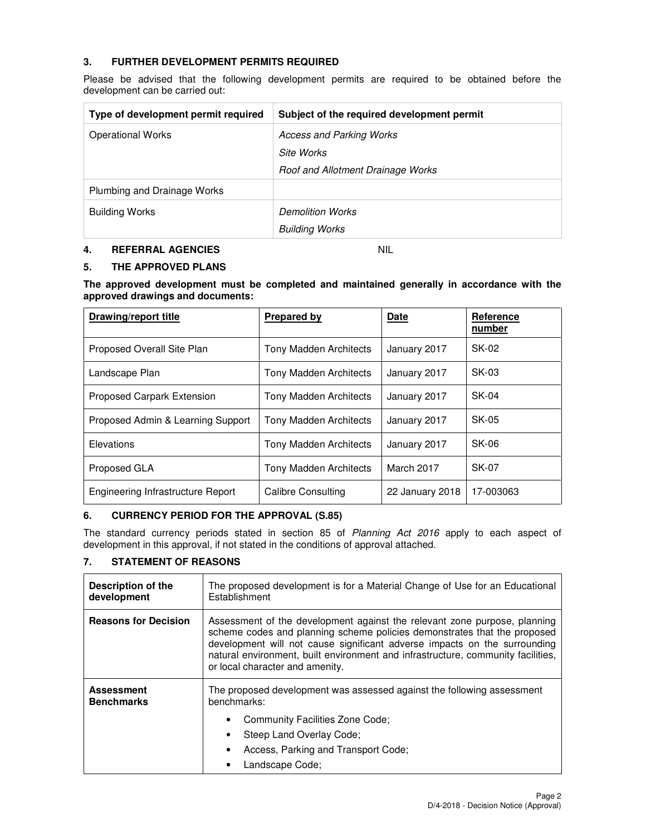### **3. FURTHER DEVELOPMENT PERMITS REQUIRED**

Please be advised that the following development permits are required to be obtained before the development can be carried out:

| Type of development permit required | Subject of the required development permit |
|-------------------------------------|--------------------------------------------|
| <b>Operational Works</b>            | <b>Access and Parking Works</b>            |
|                                     | Site Works                                 |
|                                     | Roof and Allotment Drainage Works          |
| Plumbing and Drainage Works         |                                            |
| <b>Building Works</b>               | <b>Demolition Works</b>                    |
|                                     | <b>Building Works</b>                      |

## **4. REFERRAL AGENCIES** NIL

#### **5. THE APPROVED PLANS**

**The approved development must be completed and maintained generally in accordance with the approved drawings and documents:** 

| Drawing/report title              | Prepared by                   | <b>Date</b>     | Reference<br>number |
|-----------------------------------|-------------------------------|-----------------|---------------------|
| Proposed Overall Site Plan        | <b>Tony Madden Architects</b> | January 2017    | SK-02               |
| Landscape Plan                    | <b>Tony Madden Architects</b> | January 2017    | $SK-03$             |
| <b>Proposed Carpark Extension</b> | <b>Tony Madden Architects</b> | January 2017    | SK-04               |
| Proposed Admin & Learning Support | <b>Tony Madden Architects</b> | January 2017    | $SK-0.5$            |
| Elevations                        | <b>Tony Madden Architects</b> | January 2017    | SK-06               |
| Proposed GLA                      | <b>Tony Madden Architects</b> | March 2017      | SK-07               |
| Engineering Infrastructure Report | Calibre Consulting            | 22 January 2018 | 17-003063           |

#### **6. CURRENCY PERIOD FOR THE APPROVAL (S.85)**

The standard currency periods stated in section 85 of Planning Act 2016 apply to each aspect of development in this approval, if not stated in the conditions of approval attached.

#### **7. STATEMENT OF REASONS**

| <b>Description of the</b><br>development | The proposed development is for a Material Change of Use for an Educational<br>Establishment                                                                                                                                                                                                                                                              |  |
|------------------------------------------|-----------------------------------------------------------------------------------------------------------------------------------------------------------------------------------------------------------------------------------------------------------------------------------------------------------------------------------------------------------|--|
| <b>Reasons for Decision</b>              | Assessment of the development against the relevant zone purpose, planning<br>scheme codes and planning scheme policies demonstrates that the proposed<br>development will not cause significant adverse impacts on the surrounding<br>natural environment, built environment and infrastructure, community facilities,<br>or local character and amenity. |  |
| <b>Assessment</b><br><b>Benchmarks</b>   | The proposed development was assessed against the following assessment<br>benchmarks:                                                                                                                                                                                                                                                                     |  |
|                                          | Community Facilities Zone Code;                                                                                                                                                                                                                                                                                                                           |  |
|                                          | Steep Land Overlay Code:                                                                                                                                                                                                                                                                                                                                  |  |
|                                          | Access, Parking and Transport Code;                                                                                                                                                                                                                                                                                                                       |  |
|                                          | Landscape Code;                                                                                                                                                                                                                                                                                                                                           |  |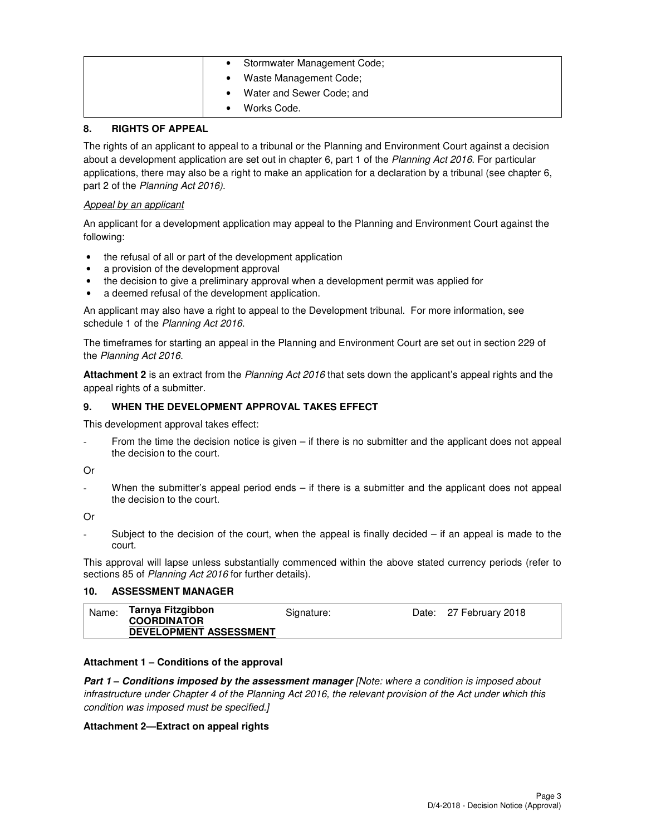| Stormwater Management Code; |
|-----------------------------|
| Waste Management Code;      |
| Water and Sewer Code; and   |
| Works Code.                 |

#### **8. RIGHTS OF APPEAL**

The rights of an applicant to appeal to a tribunal or the Planning and Environment Court against a decision about a development application are set out in chapter 6, part 1 of the Planning Act 2016. For particular applications, there may also be a right to make an application for a declaration by a tribunal (see chapter 6, part 2 of the Planning Act 2016).

#### Appeal by an applicant

An applicant for a development application may appeal to the Planning and Environment Court against the following:

- the refusal of all or part of the development application
- a provision of the development approval
- the decision to give a preliminary approval when a development permit was applied for
- a deemed refusal of the development application.

An applicant may also have a right to appeal to the Development tribunal. For more information, see schedule 1 of the Planning Act 2016.

The timeframes for starting an appeal in the Planning and Environment Court are set out in section 229 of the Planning Act 2016.

**Attachment 2** is an extract from the Planning Act 2016 that sets down the applicant's appeal rights and the appeal rights of a submitter.

#### **9. WHEN THE DEVELOPMENT APPROVAL TAKES EFFECT**

This development approval takes effect:

From the time the decision notice is given  $-$  if there is no submitter and the applicant does not appeal the decision to the court.

#### Or

When the submitter's appeal period ends  $-$  if there is a submitter and the applicant does not appeal the decision to the court.

Or

Subject to the decision of the court, when the appeal is finally decided  $-$  if an appeal is made to the court.

This approval will lapse unless substantially commenced within the above stated currency periods (refer to sections 85 of Planning Act 2016 for further details).

#### **10. ASSESSMENT MANAGER**

| Tarnya Fitzgibbon<br>Name:<br>Date: 27 February 2018<br>Signature:<br><b>COORDINATOR</b><br><b>DEVELOPMENT ASSESSMENT</b> |
|---------------------------------------------------------------------------------------------------------------------------|
|---------------------------------------------------------------------------------------------------------------------------|

## **Attachment 1 – Conditions of the approval**

**Part 1 – Conditions imposed by the assessment manager** [Note: where a condition is imposed about infrastructure under Chapter 4 of the Planning Act 2016, the relevant provision of the Act under which this condition was imposed must be specified.]

#### **Attachment 2—Extract on appeal rights**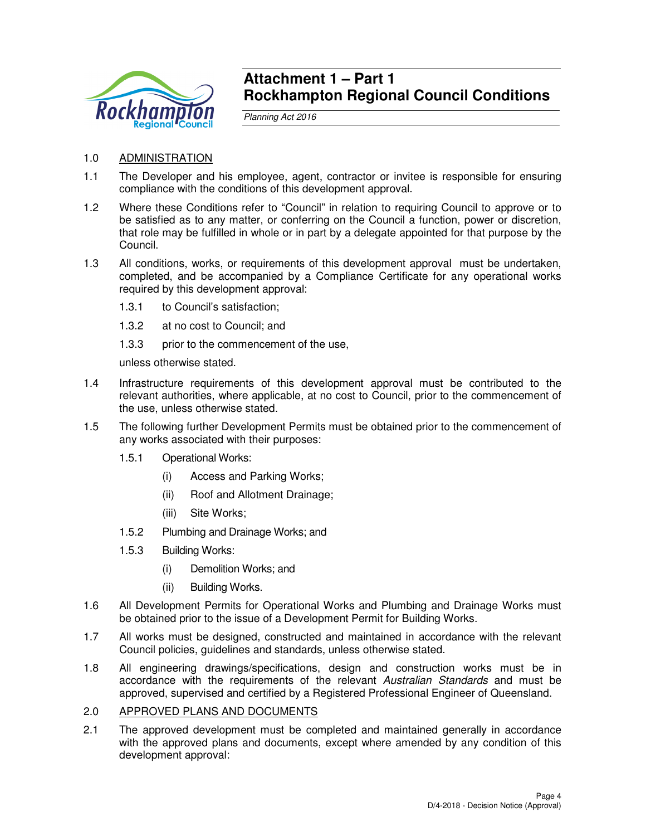

## **Attachment 1 – Part 1 Rockhampton Regional Council Conditions**

Planning Act 2016

- 1.0 ADMINISTRATION
- 1.1 The Developer and his employee, agent, contractor or invitee is responsible for ensuring compliance with the conditions of this development approval.
- 1.2 Where these Conditions refer to "Council" in relation to requiring Council to approve or to be satisfied as to any matter, or conferring on the Council a function, power or discretion, that role may be fulfilled in whole or in part by a delegate appointed for that purpose by the Council.
- 1.3 All conditions, works, or requirements of this development approval must be undertaken, completed, and be accompanied by a Compliance Certificate for any operational works required by this development approval:
	- 1.3.1 to Council's satisfaction;
	- 1.3.2 at no cost to Council; and
	- 1.3.3 prior to the commencement of the use,

unless otherwise stated.

- 1.4 Infrastructure requirements of this development approval must be contributed to the relevant authorities, where applicable, at no cost to Council, prior to the commencement of the use, unless otherwise stated.
- 1.5 The following further Development Permits must be obtained prior to the commencement of any works associated with their purposes:
	- 1.5.1 Operational Works:
		- (i) Access and Parking Works;
		- (ii) Roof and Allotment Drainage;
		- (iii) Site Works;
	- 1.5.2 Plumbing and Drainage Works; and
	- 1.5.3 Building Works:
		- (i) Demolition Works; and
		- (ii) Building Works.
- 1.6 All Development Permits for Operational Works and Plumbing and Drainage Works must be obtained prior to the issue of a Development Permit for Building Works.
- 1.7 All works must be designed, constructed and maintained in accordance with the relevant Council policies, guidelines and standards, unless otherwise stated.
- 1.8 All engineering drawings/specifications, design and construction works must be in accordance with the requirements of the relevant Australian Standards and must be approved, supervised and certified by a Registered Professional Engineer of Queensland.

#### 2.0 APPROVED PLANS AND DOCUMENTS

2.1 The approved development must be completed and maintained generally in accordance with the approved plans and documents, except where amended by any condition of this development approval: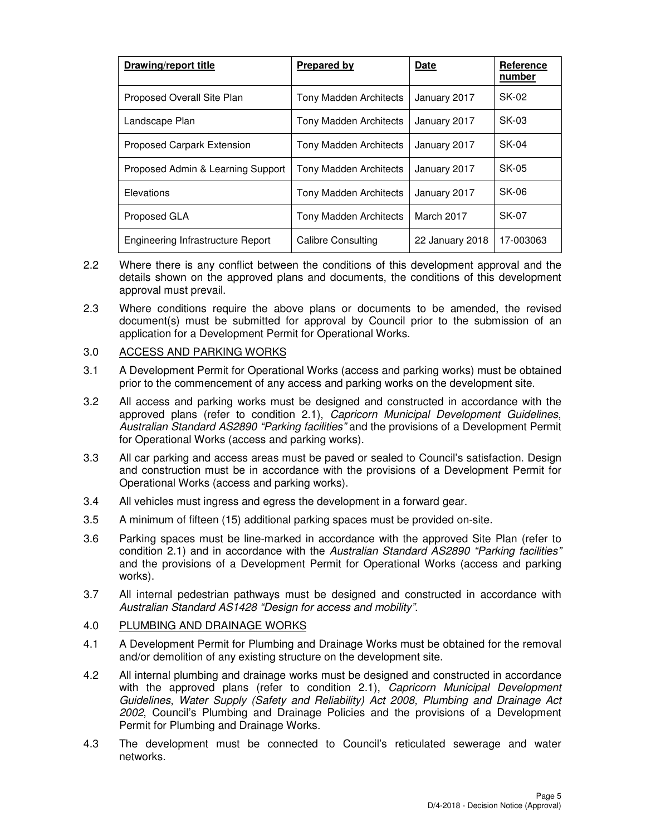| <b>Drawing/report title</b>       | <b>Prepared by</b>            | Date            | Reference<br>number |
|-----------------------------------|-------------------------------|-----------------|---------------------|
| Proposed Overall Site Plan        | <b>Tony Madden Architects</b> | January 2017    | SK-02               |
| Landscape Plan                    | Tony Madden Architects        | January 2017    | SK-03               |
| Proposed Carpark Extension        | <b>Tony Madden Architects</b> | January 2017    | SK-04               |
| Proposed Admin & Learning Support | Tony Madden Architects        | January 2017    | SK-05               |
| Elevations                        | <b>Tony Madden Architects</b> | January 2017    | SK-06               |
| Proposed GLA                      | Tony Madden Architects        | March 2017      | SK-07               |
| Engineering Infrastructure Report | Calibre Consulting            | 22 January 2018 | 17-003063           |

- 2.2 Where there is any conflict between the conditions of this development approval and the details shown on the approved plans and documents, the conditions of this development approval must prevail.
- 2.3 Where conditions require the above plans or documents to be amended, the revised document(s) must be submitted for approval by Council prior to the submission of an application for a Development Permit for Operational Works.

## 3.0 ACCESS AND PARKING WORKS

- 3.1 A Development Permit for Operational Works (access and parking works) must be obtained prior to the commencement of any access and parking works on the development site.
- 3.2 All access and parking works must be designed and constructed in accordance with the approved plans (refer to condition 2.1), Capricorn Municipal Development Guidelines, Australian Standard AS2890 "Parking facilities" and the provisions of a Development Permit for Operational Works (access and parking works).
- 3.3 All car parking and access areas must be paved or sealed to Council's satisfaction. Design and construction must be in accordance with the provisions of a Development Permit for Operational Works (access and parking works).
- 3.4 All vehicles must ingress and egress the development in a forward gear.
- 3.5 A minimum of fifteen (15) additional parking spaces must be provided on-site.
- 3.6 Parking spaces must be line-marked in accordance with the approved Site Plan (refer to condition 2.1) and in accordance with the Australian Standard AS2890 "Parking facilities" and the provisions of a Development Permit for Operational Works (access and parking works).
- 3.7 All internal pedestrian pathways must be designed and constructed in accordance with Australian Standard AS1428 "Design for access and mobility".

#### 4.0 PLUMBING AND DRAINAGE WORKS

- 4.1 A Development Permit for Plumbing and Drainage Works must be obtained for the removal and/or demolition of any existing structure on the development site.
- 4.2 All internal plumbing and drainage works must be designed and constructed in accordance with the approved plans (refer to condition 2.1), Capricorn Municipal Development Guidelines, Water Supply (Safety and Reliability) Act 2008, Plumbing and Drainage Act 2002, Council's Plumbing and Drainage Policies and the provisions of a Development Permit for Plumbing and Drainage Works.
- 4.3 The development must be connected to Council's reticulated sewerage and water networks.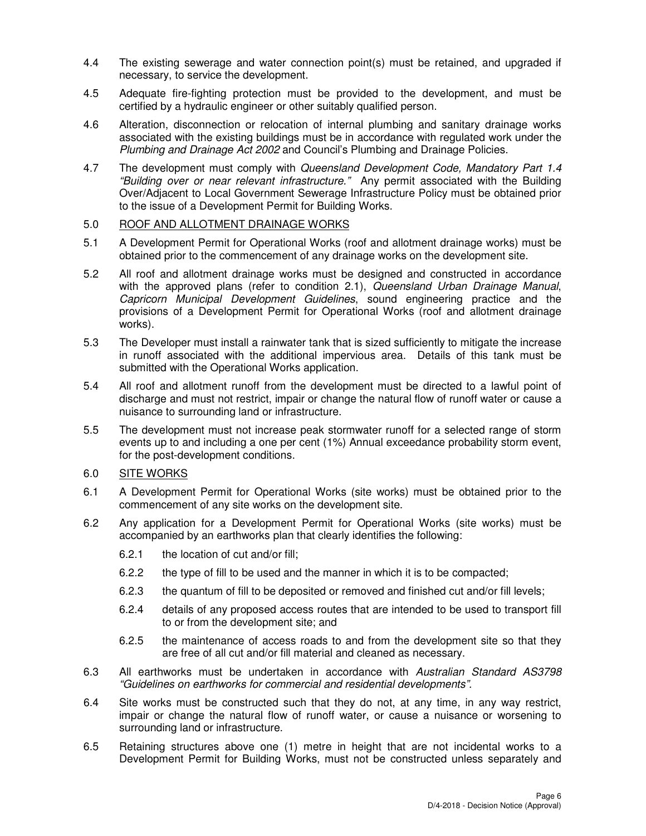- 4.4 The existing sewerage and water connection point(s) must be retained, and upgraded if necessary, to service the development.
- 4.5 Adequate fire-fighting protection must be provided to the development, and must be certified by a hydraulic engineer or other suitably qualified person.
- 4.6 Alteration, disconnection or relocation of internal plumbing and sanitary drainage works associated with the existing buildings must be in accordance with regulated work under the Plumbing and Drainage Act 2002 and Council's Plumbing and Drainage Policies.
- 4.7 The development must comply with Queensland Development Code, Mandatory Part 1.4 "Building over or near relevant infrastructure." Any permit associated with the Building Over/Adjacent to Local Government Sewerage Infrastructure Policy must be obtained prior to the issue of a Development Permit for Building Works.

#### 5.0 ROOF AND ALLOTMENT DRAINAGE WORKS

- 5.1 A Development Permit for Operational Works (roof and allotment drainage works) must be obtained prior to the commencement of any drainage works on the development site.
- 5.2 All roof and allotment drainage works must be designed and constructed in accordance with the approved plans (refer to condition 2.1), Queensland Urban Drainage Manual, Capricorn Municipal Development Guidelines, sound engineering practice and the provisions of a Development Permit for Operational Works (roof and allotment drainage works).
- 5.3 The Developer must install a rainwater tank that is sized sufficiently to mitigate the increase in runoff associated with the additional impervious area. Details of this tank must be submitted with the Operational Works application.
- 5.4 All roof and allotment runoff from the development must be directed to a lawful point of discharge and must not restrict, impair or change the natural flow of runoff water or cause a nuisance to surrounding land or infrastructure.
- 5.5 The development must not increase peak stormwater runoff for a selected range of storm events up to and including a one per cent (1%) Annual exceedance probability storm event, for the post-development conditions.
- 6.0 SITE WORKS
- 6.1 A Development Permit for Operational Works (site works) must be obtained prior to the commencement of any site works on the development site.
- 6.2 Any application for a Development Permit for Operational Works (site works) must be accompanied by an earthworks plan that clearly identifies the following:
	- 6.2.1 the location of cut and/or fill;
	- 6.2.2 the type of fill to be used and the manner in which it is to be compacted;
	- 6.2.3 the quantum of fill to be deposited or removed and finished cut and/or fill levels;
	- 6.2.4 details of any proposed access routes that are intended to be used to transport fill to or from the development site; and
	- 6.2.5 the maintenance of access roads to and from the development site so that they are free of all cut and/or fill material and cleaned as necessary.
- 6.3 All earthworks must be undertaken in accordance with Australian Standard AS3798 "Guidelines on earthworks for commercial and residential developments".
- 6.4 Site works must be constructed such that they do not, at any time, in any way restrict, impair or change the natural flow of runoff water, or cause a nuisance or worsening to surrounding land or infrastructure.
- 6.5 Retaining structures above one (1) metre in height that are not incidental works to a Development Permit for Building Works, must not be constructed unless separately and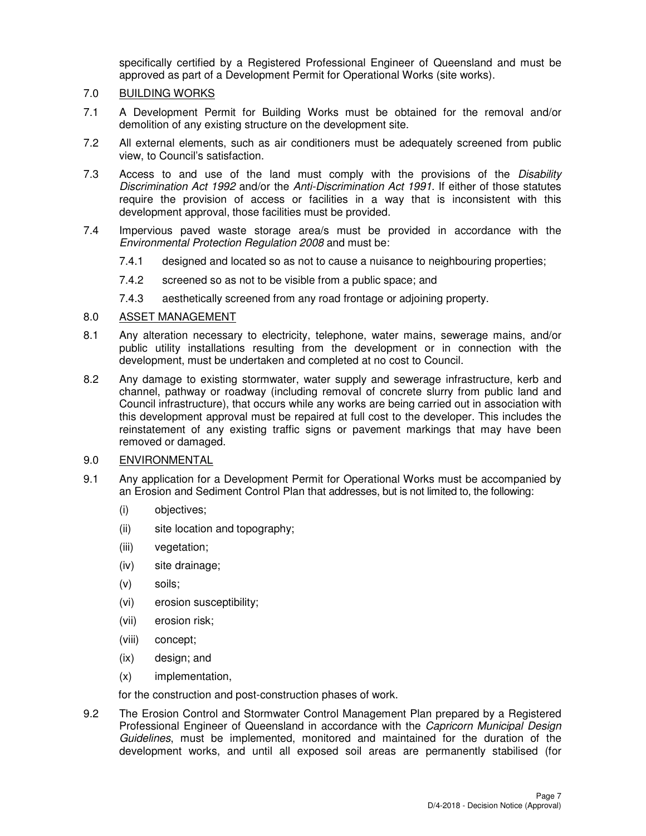specifically certified by a Registered Professional Engineer of Queensland and must be approved as part of a Development Permit for Operational Works (site works).

### 7.0 BUILDING WORKS

- 7.1 A Development Permit for Building Works must be obtained for the removal and/or demolition of any existing structure on the development site.
- 7.2 All external elements, such as air conditioners must be adequately screened from public view, to Council's satisfaction.
- 7.3 Access to and use of the land must comply with the provisions of the Disability Discrimination Act 1992 and/or the Anti-Discrimination Act 1991. If either of those statutes require the provision of access or facilities in a way that is inconsistent with this development approval, those facilities must be provided.
- 7.4 Impervious paved waste storage area/s must be provided in accordance with the Environmental Protection Regulation 2008 and must be:
	- 7.4.1 designed and located so as not to cause a nuisance to neighbouring properties;
	- 7.4.2 screened so as not to be visible from a public space; and
	- 7.4.3 aesthetically screened from any road frontage or adjoining property.

## 8.0 ASSET MANAGEMENT

- 8.1 Any alteration necessary to electricity, telephone, water mains, sewerage mains, and/or public utility installations resulting from the development or in connection with the development, must be undertaken and completed at no cost to Council.
- 8.2 Any damage to existing stormwater, water supply and sewerage infrastructure, kerb and channel, pathway or roadway (including removal of concrete slurry from public land and Council infrastructure), that occurs while any works are being carried out in association with this development approval must be repaired at full cost to the developer. This includes the reinstatement of any existing traffic signs or pavement markings that may have been removed or damaged.

#### 9.0 ENVIRONMENTAL

- 9.1 Any application for a Development Permit for Operational Works must be accompanied by an Erosion and Sediment Control Plan that addresses, but is not limited to, the following:
	- (i) objectives;
	- (ii) site location and topography;
	- (iii) vegetation;
	- (iv) site drainage;
	- (v) soils;
	- (vi) erosion susceptibility;
	- (vii) erosion risk;
	- (viii) concept;
	- (ix) design; and
	- (x) implementation,

for the construction and post-construction phases of work.

9.2 The Erosion Control and Stormwater Control Management Plan prepared by a Registered Professional Engineer of Queensland in accordance with the Capricorn Municipal Design Guidelines, must be implemented, monitored and maintained for the duration of the development works, and until all exposed soil areas are permanently stabilised (for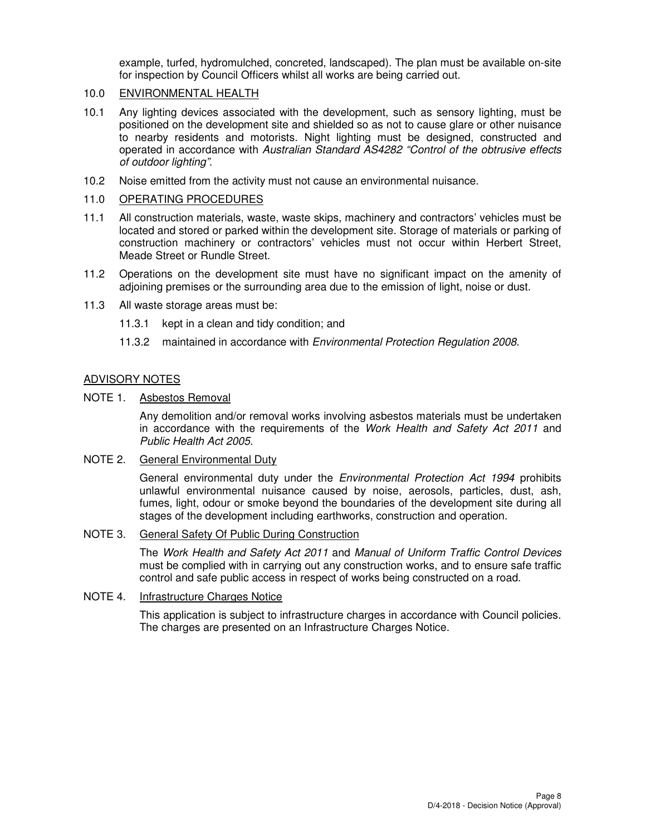example, turfed, hydromulched, concreted, landscaped). The plan must be available on-site for inspection by Council Officers whilst all works are being carried out.

## 10.0 ENVIRONMENTAL HEALTH

- 10.1 Any lighting devices associated with the development, such as sensory lighting, must be positioned on the development site and shielded so as not to cause glare or other nuisance to nearby residents and motorists. Night lighting must be designed, constructed and operated in accordance with Australian Standard AS4282 "Control of the obtrusive effects of outdoor lighting".
- 10.2 Noise emitted from the activity must not cause an environmental nuisance.

### 11.0 OPERATING PROCEDURES

- 11.1 All construction materials, waste, waste skips, machinery and contractors' vehicles must be located and stored or parked within the development site. Storage of materials or parking of construction machinery or contractors' vehicles must not occur within Herbert Street, Meade Street or Rundle Street.
- 11.2 Operations on the development site must have no significant impact on the amenity of adjoining premises or the surrounding area due to the emission of light, noise or dust.
- 11.3 All waste storage areas must be:
	- 11.3.1 kept in a clean and tidy condition; and
	- 11.3.2 maintained in accordance with *Environmental Protection Regulation 2008*.

## ADVISORY NOTES

#### NOTE 1. Asbestos Removal

Any demolition and/or removal works involving asbestos materials must be undertaken in accordance with the requirements of the Work Health and Safety Act 2011 and Public Health Act 2005.

#### NOTE 2. General Environmental Duty

General environmental duty under the *Environmental Protection Act 1994* prohibits unlawful environmental nuisance caused by noise, aerosols, particles, dust, ash, fumes, light, odour or smoke beyond the boundaries of the development site during all stages of the development including earthworks, construction and operation.

#### NOTE 3. General Safety Of Public During Construction

The Work Health and Safety Act 2011 and Manual of Uniform Traffic Control Devices must be complied with in carrying out any construction works, and to ensure safe traffic control and safe public access in respect of works being constructed on a road.

#### NOTE 4. Infrastructure Charges Notice

This application is subject to infrastructure charges in accordance with Council policies. The charges are presented on an Infrastructure Charges Notice.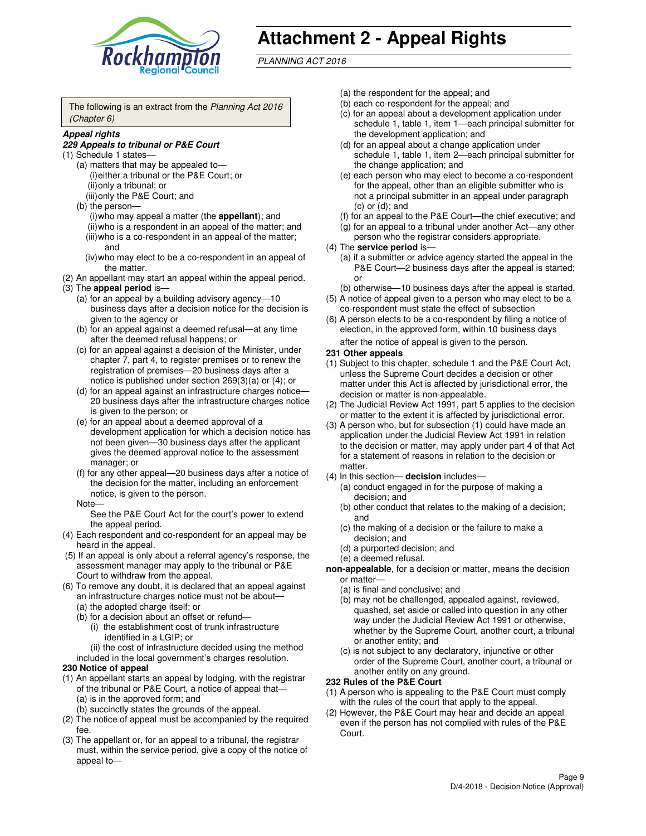

# **Attachment 2 - Appeal Rights**

PLANNING ACT 2016

The following is an extract from the Planning Act 2016 (Chapter 6)

#### **Appeal rights**

#### **229 Appeals to tribunal or P&E Court**

- (1) Schedule 1 states—
	- (a) matters that may be appealed to— (i) either a tribunal or the P&E Court; or (ii) only a tribunal; or (iii) only the P&E Court; and
	- (b) the person—
		- (i) who may appeal a matter (the **appellant**); and
		- (ii) who is a respondent in an appeal of the matter; and (iii) who is a co-respondent in an appeal of the matter; and
		- (iv) who may elect to be a co-respondent in an appeal of the matter.
- (2) An appellant may start an appeal within the appeal period.
- (3) The **appeal period** is—
	- (a) for an appeal by a building advisory agency—10 business days after a decision notice for the decision is given to the agency or
	- (b) for an appeal against a deemed refusal—at any time after the deemed refusal happens; or
	- (c) for an appeal against a decision of the Minister, under chapter 7, part 4, to register premises or to renew the registration of premises—20 business days after a notice is published under section 269(3)(a) or (4); or
	- (d) for an appeal against an infrastructure charges notice— 20 business days after the infrastructure charges notice is given to the person; or
	- (e) for an appeal about a deemed approval of a development application for which a decision notice has not been given—30 business days after the applicant gives the deemed approval notice to the assessment manager; or
	- (f) for any other appeal—20 business days after a notice of the decision for the matter, including an enforcement notice, is given to the person.
	- Note—

See the P&E Court Act for the court's power to extend the appeal period.

- (4) Each respondent and co-respondent for an appeal may be heard in the appeal.
- (5) If an appeal is only about a referral agency's response, the assessment manager may apply to the tribunal or P&E Court to withdraw from the appeal.
- (6) To remove any doubt, it is declared that an appeal against an infrastructure charges notice must not be about—
	- (a) the adopted charge itself; or
	- (b) for a decision about an offset or refund—
		- (i) the establishment cost of trunk infrastructure identified in a LGIP; or
		- (ii) the cost of infrastructure decided using the method
- included in the local government's charges resolution. **230 Notice of appeal**
- (1) An appellant starts an appeal by lodging, with the registrar of the tribunal or P&E Court, a notice of appeal that—
	- (a) is in the approved form; and
	- (b) succinctly states the grounds of the appeal.
- (2) The notice of appeal must be accompanied by the required fee.
- (3) The appellant or, for an appeal to a tribunal, the registrar must, within the service period, give a copy of the notice of appeal to—
- (a) the respondent for the appeal; and
- (b) each co-respondent for the appeal; and
- (c) for an appeal about a development application under schedule 1, table 1, item 1—each principal submitter for the development application; and
- (d) for an appeal about a change application under schedule 1, table 1, item 2—each principal submitter for the change application; and
- (e) each person who may elect to become a co-respondent for the appeal, other than an eligible submitter who is not a principal submitter in an appeal under paragraph  $(c)$  or  $(d)$ ; and
- (f) for an appeal to the P&E Court—the chief executive; and
- (g) for an appeal to a tribunal under another Act—any other person who the registrar considers appropriate.
- (4) The **service period** is—
	- (a) if a submitter or advice agency started the appeal in the P&E Court—2 business days after the appeal is started; or
	- (b) otherwise—10 business days after the appeal is started.
- (5) A notice of appeal given to a person who may elect to be a co-respondent must state the effect of subsection
- (6) A person elects to be a co-respondent by filing a notice of election, in the approved form, within 10 business days after the notice of appeal is given to the person*.*
- **231 Other appeals**
- (1) Subject to this chapter, schedule 1 and the P&E Court Act, unless the Supreme Court decides a decision or other matter under this Act is affected by jurisdictional error, the decision or matter is non-appealable.
- (2) The Judicial Review Act 1991, part 5 applies to the decision or matter to the extent it is affected by jurisdictional error.
- (3) A person who, but for subsection (1) could have made an application under the Judicial Review Act 1991 in relation to the decision or matter, may apply under part 4 of that Act for a statement of reasons in relation to the decision or matter.
- (4) In this section— **decision** includes—
	- (a) conduct engaged in for the purpose of making a decision; and
	- (b) other conduct that relates to the making of a decision; and
	- (c) the making of a decision or the failure to make a decision; and
	- (d) a purported decision; and
	- (e) a deemed refusal.

**non-appealable**, for a decision or matter, means the decision or matter—

- (a) is final and conclusive; and
- (b) may not be challenged, appealed against, reviewed, quashed, set aside or called into question in any other way under the Judicial Review Act 1991 or otherwise, whether by the Supreme Court, another court, a tribunal or another entity; and
- (c) is not subject to any declaratory, injunctive or other order of the Supreme Court, another court, a tribunal or another entity on any ground.

#### **232 Rules of the P&E Court**

- (1) A person who is appealing to the P&E Court must comply with the rules of the court that apply to the appeal.
- (2) However, the P&E Court may hear and decide an appeal even if the person has not complied with rules of the P&E Court.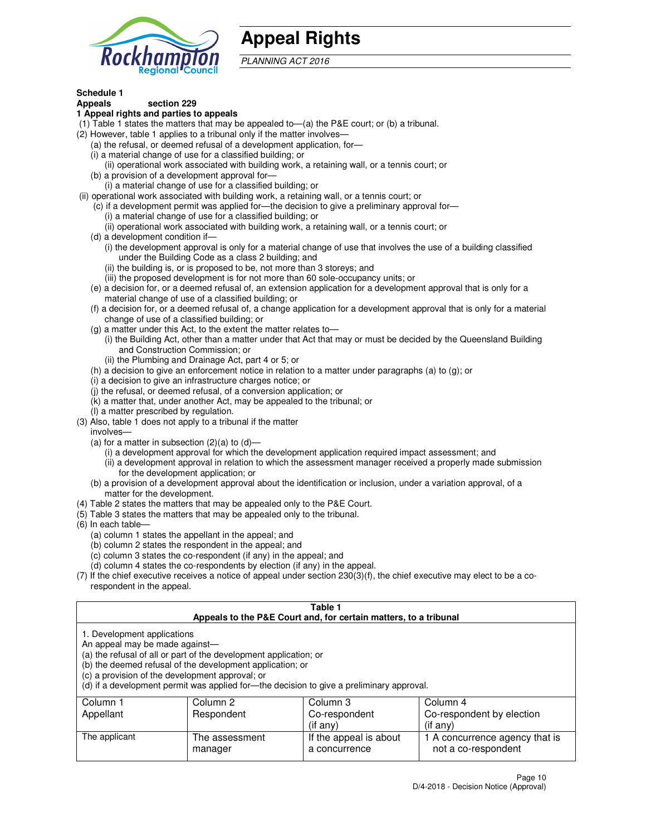

## **Appeal Rights**

PLANNING ACT 2016

## **Schedule 1**

## **Appeals section 229**

#### **1 Appeal rights and parties to appeals**

- (1) Table 1 states the matters that may be appealed to—(a) the P&E court; or (b) a tribunal.
- (2) However, table 1 applies to a tribunal only if the matter involves—
	- (a) the refusal, or deemed refusal of a development application, for—
	- (i) a material change of use for a classified building; or
	- (ii) operational work associated with building work, a retaining wall, or a tennis court; or
	- (b) a provision of a development approval for—
	- (i) a material change of use for a classified building; or
- (ii) operational work associated with building work, a retaining wall, or a tennis court; or
	- (c) if a development permit was applied for—the decision to give a preliminary approval for—
		- (i) a material change of use for a classified building; or
		- (ii) operational work associated with building work, a retaining wall, or a tennis court; or
	- (d) a development condition if—
		- (i) the development approval is only for a material change of use that involves the use of a building classified under the Building Code as a class 2 building; and
		- (ii) the building is, or is proposed to be, not more than 3 storeys; and
		- (iii) the proposed development is for not more than 60 sole-occupancy units; or
	- (e) a decision for, or a deemed refusal of, an extension application for a development approval that is only for a material change of use of a classified building; or
	- (f) a decision for, or a deemed refusal of, a change application for a development approval that is only for a material change of use of a classified building; or
	- (g) a matter under this Act, to the extent the matter relates to—
		- (i) the Building Act, other than a matter under that Act that may or must be decided by the Queensland Building and Construction Commission; or
		- (ii) the Plumbing and Drainage Act, part 4 or 5; or
	- (h) a decision to give an enforcement notice in relation to a matter under paragraphs (a) to (g); or
	- (i) a decision to give an infrastructure charges notice; or
	- (j) the refusal, or deemed refusal, of a conversion application; or
	- (k) a matter that, under another Act, may be appealed to the tribunal; or
	- (l) a matter prescribed by regulation.
- (3) Also, table 1 does not apply to a tribunal if the matter
	- involves—
	- (a) for a matter in subsection  $(2)(a)$  to  $(d)$ 
		- (i) a development approval for which the development application required impact assessment; and
		- (ii) a development approval in relation to which the assessment manager received a properly made submission for the development application; or
	- (b) a provision of a development approval about the identification or inclusion, under a variation approval, of a matter for the development.
- (4) Table 2 states the matters that may be appealed only to the P&E Court.
- (5) Table 3 states the matters that may be appealed only to the tribunal.
- (6) In each table—
	- (a) column 1 states the appellant in the appeal; and
	- (b) column 2 states the respondent in the appeal; and
	- (c) column 3 states the co-respondent (if any) in the appeal; and
	- (d) column 4 states the co-respondents by election (if any) in the appeal.
- $(7)$  If the chief executive receives a notice of appeal under section  $230(3)(f)$ , the chief executive may elect to be a corespondent in the appeal.

| Table 1<br>Appeals to the P&E Court and, for certain matters, to a tribunal                                                                                                                                                                                                                                                                    |                           |                                         |                                                       |  |
|------------------------------------------------------------------------------------------------------------------------------------------------------------------------------------------------------------------------------------------------------------------------------------------------------------------------------------------------|---------------------------|-----------------------------------------|-------------------------------------------------------|--|
| 1. Development applications<br>An appeal may be made against-<br>(a) the refusal of all or part of the development application; or<br>(b) the deemed refusal of the development application; or<br>(c) a provision of the development approval; or<br>(d) if a development permit was applied for—the decision to give a preliminary approval. |                           |                                         |                                                       |  |
| Column 4<br>Column 1<br>Column 2<br>Column 3                                                                                                                                                                                                                                                                                                   |                           |                                         |                                                       |  |
| Appellant                                                                                                                                                                                                                                                                                                                                      | Respondent                | Co-respondent                           | Co-respondent by election                             |  |
| (if any)<br>$($ if any $)$                                                                                                                                                                                                                                                                                                                     |                           |                                         |                                                       |  |
| The applicant                                                                                                                                                                                                                                                                                                                                  | The assessment<br>manager | If the appeal is about<br>a concurrence | 1 A concurrence agency that is<br>not a co-respondent |  |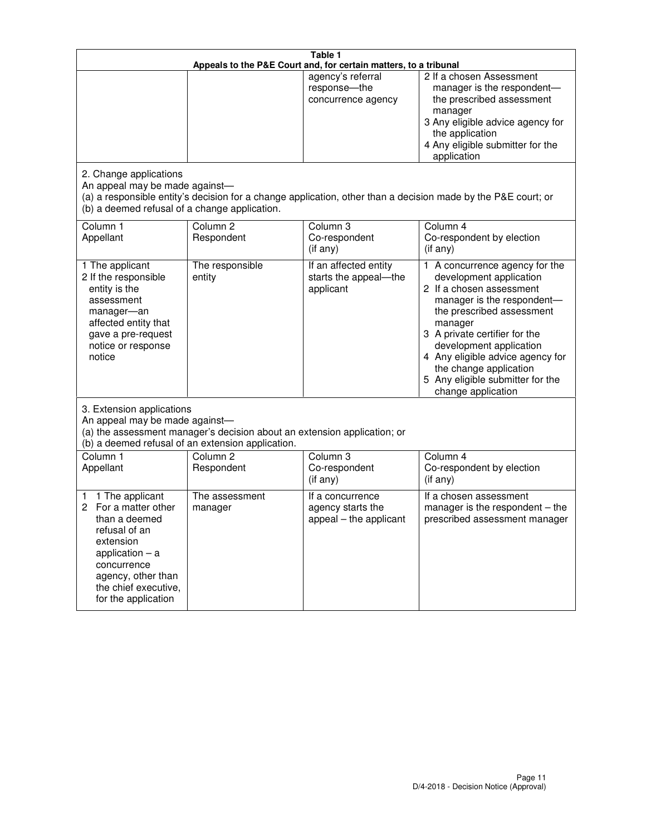| Table 1<br>Appeals to the P&E Court and, for certain matters, to a tribunal                                                                                                                             |                                   |                                                                 |                                                                                                                                                                                                                                                                                                                                                 |  |
|---------------------------------------------------------------------------------------------------------------------------------------------------------------------------------------------------------|-----------------------------------|-----------------------------------------------------------------|-------------------------------------------------------------------------------------------------------------------------------------------------------------------------------------------------------------------------------------------------------------------------------------------------------------------------------------------------|--|
| 2. Change applications                                                                                                                                                                                  |                                   | agency's referral<br>response-the<br>concurrence agency         | 2 If a chosen Assessment<br>manager is the respondent-<br>the prescribed assessment<br>manager<br>3 Any eligible advice agency for<br>the application<br>4 Any eligible submitter for the<br>application                                                                                                                                        |  |
| An appeal may be made against-<br>(b) a deemed refusal of a change application.                                                                                                                         |                                   |                                                                 | (a) a responsible entity's decision for a change application, other than a decision made by the P&E court; or                                                                                                                                                                                                                                   |  |
| Column 1<br>Appellant                                                                                                                                                                                   | Column <sub>2</sub><br>Respondent | Column <sub>3</sub><br>Co-respondent<br>(if any)                | Column 4<br>Co-respondent by election<br>(if any)                                                                                                                                                                                                                                                                                               |  |
| 1 The applicant<br>2 If the responsible<br>entity is the<br>assessment<br>manager-an<br>affected entity that<br>gave a pre-request<br>notice or response<br>notice                                      | The responsible<br>entity         | If an affected entity<br>starts the appeal-the<br>applicant     | 1 A concurrence agency for the<br>development application<br>2 If a chosen assessment<br>manager is the respondent-<br>the prescribed assessment<br>manager<br>3 A private certifier for the<br>development application<br>4 Any eligible advice agency for<br>the change application<br>5 Any eligible submitter for the<br>change application |  |
| 3. Extension applications<br>An appeal may be made against-<br>(a) the assessment manager's decision about an extension application; or<br>(b) a deemed refusal of an extension application.            |                                   |                                                                 |                                                                                                                                                                                                                                                                                                                                                 |  |
| Column 1<br>Appellant                                                                                                                                                                                   | Column <sub>2</sub><br>Respondent | Column <sub>3</sub><br>Co-respondent<br>(if any)                | Column 4<br>Co-respondent by election<br>(if any)                                                                                                                                                                                                                                                                                               |  |
| 1 The applicant<br>1<br>For a matter other<br>2<br>than a deemed<br>refusal of an<br>extension<br>application $-$ a<br>concurrence<br>agency, other than<br>the chief executive,<br>for the application | The assessment<br>manager         | If a concurrence<br>agency starts the<br>appeal - the applicant | If a chosen assessment<br>manager is the respondent $-$ the<br>prescribed assessment manager                                                                                                                                                                                                                                                    |  |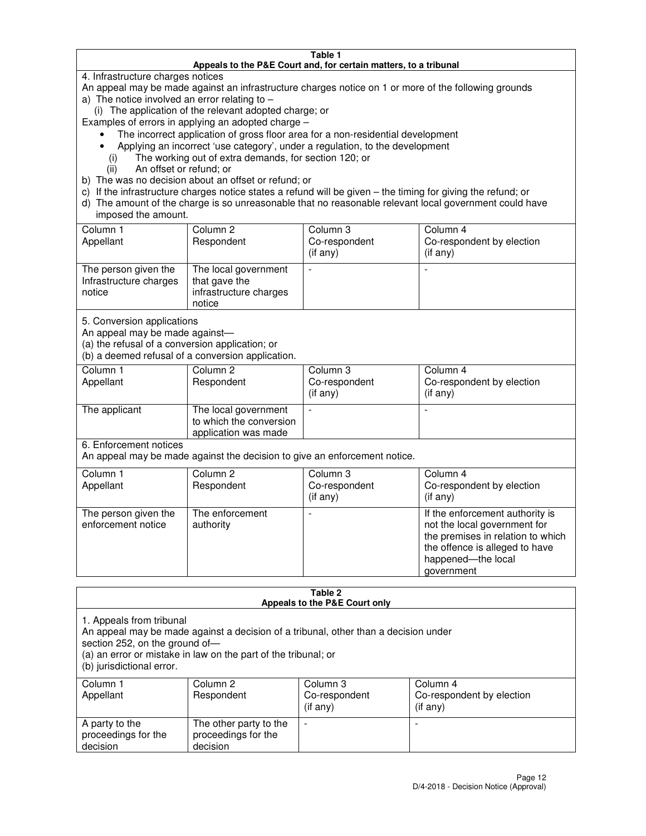#### **Table 1 Appeals to the P&E Court and, for certain matters, to a tribunal**

4. Infrastructure charges notices

An appeal may be made against an infrastructure charges notice on 1 or more of the following grounds

- a) The notice involved an error relating to
	- (i) The application of the relevant adopted charge; or
- Examples of errors in applying an adopted charge
	- The incorrect application of gross floor area for a non-residential development
	- Applying an incorrect 'use category', under a regulation, to the development
		- (i) The working out of extra demands, for section 120; or
		- (ii) An offset or refund; or
- b) The was no decision about an offset or refund; or
- c) If the infrastructure charges notice states a refund will be given the timing for giving the refund; or
- d) The amount of the charge is so unreasonable that no reasonable relevant local government could have imposed the amount.

| Column 1<br>Appellant                                    | Column 2<br>Respondent                                                    | Column 3<br>Co-respondent<br>$($ if any $)$ | Column 4<br>Co-respondent by election<br>$($ if any $)$ |
|----------------------------------------------------------|---------------------------------------------------------------------------|---------------------------------------------|---------------------------------------------------------|
| The person given the<br>Infrastructure charges<br>notice | The local government<br>that gave the<br>infrastructure charges<br>notice |                                             |                                                         |

5. Conversion applications

An appeal may be made against—

(a) the refusal of a conversion application; or

(b) a deemed refusal of a conversion application.

| Column 1<br>Appellant | Column 2<br>Respondent                                                  | Column 3<br>Co-respondent<br>$($ if any $)$ | Column 4<br>Co-respondent by election<br>$($ if any $)$ |
|-----------------------|-------------------------------------------------------------------------|---------------------------------------------|---------------------------------------------------------|
| The applicant         | The local government<br>to which the conversion<br>application was made |                                             |                                                         |

6. Enforcement notices

An appeal may be made against the decision to give an enforcement notice.

| Column 1<br>Appellant                      | Column 2<br>Respondent       | Column 3<br>Co-respondent<br>$($ if any $)$ | Column 4<br>Co-respondent by election<br>(if any)                                                                                                                          |
|--------------------------------------------|------------------------------|---------------------------------------------|----------------------------------------------------------------------------------------------------------------------------------------------------------------------------|
| The person given the<br>enforcement notice | The enforcement<br>authority |                                             | If the enforcement authority is<br>not the local government for<br>the premises in relation to which<br>the offence is alleged to have<br>happened-the local<br>government |

#### **Table 2 Appeals to the P&E Court only**

1. Appeals from tribunal

An appeal may be made against a decision of a tribunal, other than a decision under

section 252, on the ground of—

(a) an error or mistake in law on the part of the tribunal; or

(b) jurisdictional error.

| Column 1<br>Appellant                             | Column 2<br>Respondent                                    | Column 3<br>Co-respondent<br>(if any) | Column 4<br>Co-respondent by election<br>(if any) |
|---------------------------------------------------|-----------------------------------------------------------|---------------------------------------|---------------------------------------------------|
| A party to the<br>proceedings for the<br>decision | The other party to the<br>proceedings for the<br>decision | -                                     |                                                   |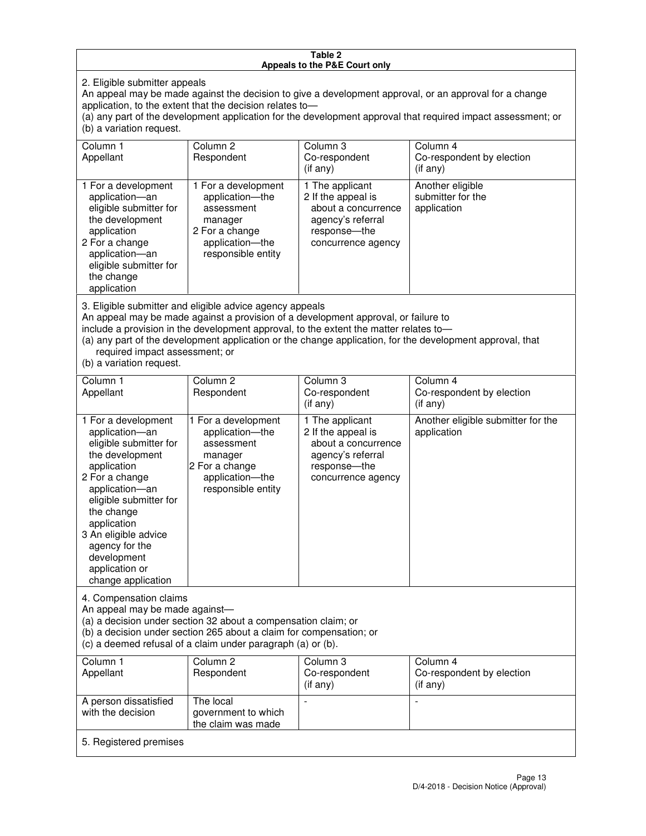#### **Table 2 Appeals to the P&E Court only**

2. Eligible submitter appeals

An appeal may be made against the decision to give a development approval, or an approval for a change application, to the extent that the decision relates to—

(a) any part of the development application for the development approval that required impact assessment; or (b) a variation request.

| Column 1<br>Appellant                                                                                                                                                                                                                                                                                                                                                                                              | Column <sub>2</sub><br>Respondent                                                                                          | Column 3<br>Co-respondent<br>(if any)                                                                                    | Column 4<br>Co-respondent by election<br>(i f any)   |
|--------------------------------------------------------------------------------------------------------------------------------------------------------------------------------------------------------------------------------------------------------------------------------------------------------------------------------------------------------------------------------------------------------------------|----------------------------------------------------------------------------------------------------------------------------|--------------------------------------------------------------------------------------------------------------------------|------------------------------------------------------|
| 1 For a development<br>application-an<br>eligible submitter for<br>the development<br>application<br>2 For a change<br>application-an<br>eligible submitter for<br>the change<br>application                                                                                                                                                                                                                       | 1 For a development<br>application-the<br>assessment<br>manager<br>2 For a change<br>application-the<br>responsible entity | 1 The applicant<br>2 If the appeal is<br>about a concurrence<br>agency's referral<br>response--the<br>concurrence agency | Another eligible<br>submitter for the<br>application |
| 3. Eligible submitter and eligible advice agency appeals<br>An appeal may be made against a provision of a development approval, or failure to<br>include a provision in the development approval, to the extent the matter relates to-<br>(a) any part of the development application or the change application, for the development approval, that<br>required impact assessment; or<br>(b) a variation request. |                                                                                                                            |                                                                                                                          |                                                      |
| Column 1<br>Appellant                                                                                                                                                                                                                                                                                                                                                                                              | Column <sub>2</sub><br>Respondent                                                                                          | Column 3<br>Co-respondent<br>(i f any)                                                                                   | Column 4<br>Co-respondent by election<br>(i f any)   |
| 1 For a development<br>application-an<br>eligible submitter for<br>the development                                                                                                                                                                                                                                                                                                                                 | 1 For a development<br>application-the<br>assessment<br>manager                                                            | 1 The applicant<br>2 If the appeal is<br>about a concurrence<br>agency's referral                                        | Another eligible submitter for the<br>application    |

response—the concurrence agency

change application 4. Compensation claims

application 2 For a change application—an eligible submitter for

the change application 3 An eligible advice agency for the development application or

An appeal may be made against—

(a) a decision under section 32 about a compensation claim; or

2 For a change application—the responsible entity

(b) a decision under section 265 about a claim for compensation; or

(c) a deemed refusal of a claim under paragraph (a) or (b).

| Column 1<br>Appellant                      | Column 2<br>Respondent                                 | Column 3<br>Co-respondent<br>$(if$ any) | Column 4<br>Co-respondent by election<br>(if any) |
|--------------------------------------------|--------------------------------------------------------|-----------------------------------------|---------------------------------------------------|
| A person dissatisfied<br>with the decision | The local<br>government to which<br>the claim was made | -                                       |                                                   |
| 5. Registered premises                     |                                                        |                                         |                                                   |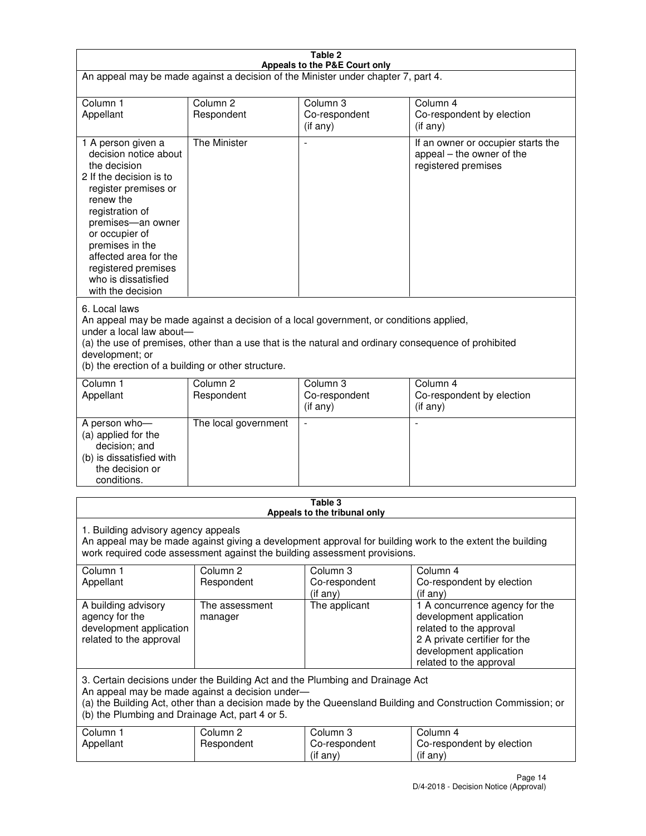| Table 2<br>Appeals to the P&E Court only                                                                                                                                                                                                                                                                                |                                   |                                       |                                                                                                                                                                             |  |
|-------------------------------------------------------------------------------------------------------------------------------------------------------------------------------------------------------------------------------------------------------------------------------------------------------------------------|-----------------------------------|---------------------------------------|-----------------------------------------------------------------------------------------------------------------------------------------------------------------------------|--|
| An appeal may be made against a decision of the Minister under chapter 7, part 4.                                                                                                                                                                                                                                       |                                   |                                       |                                                                                                                                                                             |  |
|                                                                                                                                                                                                                                                                                                                         |                                   |                                       |                                                                                                                                                                             |  |
| Column 1<br>Appellant                                                                                                                                                                                                                                                                                                   | Column <sub>2</sub><br>Respondent | Column <sub>3</sub><br>Co-respondent  | Column <sub>4</sub><br>Co-respondent by election                                                                                                                            |  |
|                                                                                                                                                                                                                                                                                                                         |                                   | $($ if any $)$                        | (if any)                                                                                                                                                                    |  |
| 1 A person given a<br>decision notice about<br>the decision<br>2 If the decision is to<br>register premises or<br>renew the<br>registration of<br>premises-an owner<br>or occupier of<br>premises in the<br>affected area for the<br>registered premises<br>who is dissatisfied<br>with the decision                    | <b>The Minister</b>               |                                       | If an owner or occupier starts the<br>appeal – the owner of the<br>registered premises                                                                                      |  |
| 6. Local laws<br>An appeal may be made against a decision of a local government, or conditions applied,<br>under a local law about-<br>(a) the use of premises, other than a use that is the natural and ordinary consequence of prohibited<br>development; or<br>(b) the erection of a building or other structure.    |                                   |                                       |                                                                                                                                                                             |  |
| Column 1                                                                                                                                                                                                                                                                                                                | Column <sub>2</sub>               | Column 3                              | Column $\overline{4}$                                                                                                                                                       |  |
| Appellant                                                                                                                                                                                                                                                                                                               | Respondent                        | Co-respondent<br>(if any)             | Co-respondent by election<br>(if any)                                                                                                                                       |  |
| A person who-<br>(a) applied for the<br>decision; and<br>(b) is dissatisfied with<br>the decision or<br>conditions.                                                                                                                                                                                                     | The local government              |                                       |                                                                                                                                                                             |  |
|                                                                                                                                                                                                                                                                                                                         |                                   | Table 3                               |                                                                                                                                                                             |  |
| Appeals to the tribunal only<br>1. Building advisory agency appeals<br>An appeal may be made against giving a development approval for building work to the extent the building<br>work required code assessment against the building assessment provisions.<br>Column 1<br>Column <sub>2</sub><br>Column 3<br>Column 4 |                                   |                                       |                                                                                                                                                                             |  |
| Appellant                                                                                                                                                                                                                                                                                                               | Respondent                        | Co-respondent<br>(if any)             | Co-respondent by election<br>(if any)                                                                                                                                       |  |
| A building advisory<br>agency for the<br>development application<br>related to the approval                                                                                                                                                                                                                             | The assessment<br>manager         | The applicant                         | 1 A concurrence agency for the<br>development application<br>related to the approval<br>2 A private certifier for the<br>development application<br>related to the approval |  |
| 3. Certain decisions under the Building Act and the Plumbing and Drainage Act<br>An appeal may be made against a decision under-<br>(a) the Building Act, other than a decision made by the Queensland Building and Construction Commission; or<br>(b) the Plumbing and Drainage Act, part 4 or 5.                      |                                   |                                       |                                                                                                                                                                             |  |
| Column 1<br>Appellant                                                                                                                                                                                                                                                                                                   | Column <sub>2</sub><br>Respondent | Column 3<br>Co-respondent<br>(if any) | Column 4<br>Co-respondent by election<br>(if any)                                                                                                                           |  |